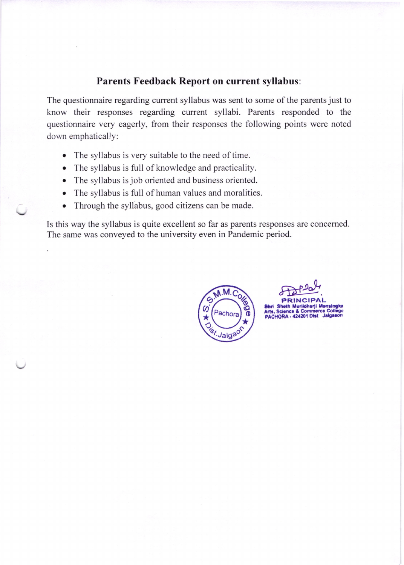## Parents Feedback Report on current syllabus:

The questionnaire regarding current syllabus was sent to some of the parents just to know their responses regarding current syllabi. Parents responded to the questionnaire very eagerly, from their responses the following points were noted down emphatically:

- The syllabus is very suitable to the need of time.
- The syllabus is full of knowledge and practicality.
- The syllabus is job oriented and business oriented.
- o The syllabus is full of human values and moralities.
- Through the syllabus, good citizens can be made.

Is this way the syllabus is quite excellent so far as parents responses are concerned. The same was conveyed to the university even in Pandemic period.



 $\frac{P}{P}$ PRINCIPAL

8hri Sheth Muriidharji Mansingka Arts, Science & Commerce College PACHORA - 424201 Dist Jalgaaon